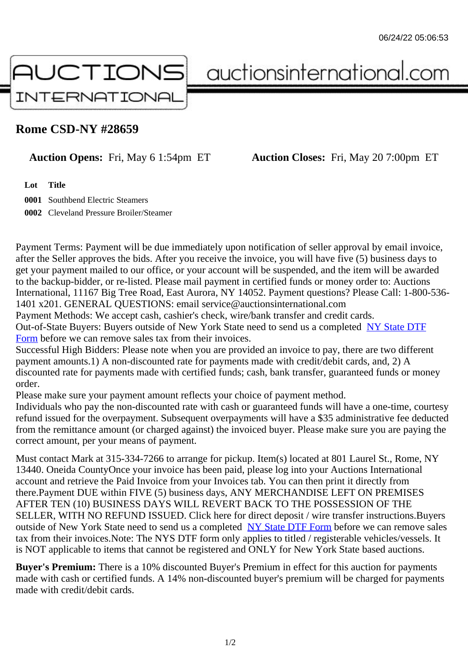## Rome CSD-NY #28659

Auction Opens: Fri, May 6 1:54pm ET Auction Closes: Fri, May 20 7:00pm ET

Lot Title

0001 Southbend Electric Steamers

0002 Cleveland Pressure Broiler/Steamer

Payment Terms: Payment will be due immediately upon notification of seller approval by email invoice, after the Seller approves the bids. After you receive the invoice, you will have five (5) business days to get your payment mailed to our office, or your account will be suspended, and the item will be awarded to the backup-bidder, or re-listed. Please mail payment in certified funds or money order to: Auctions International, 11167 Big Tree Road, East Aurora, NY 14052. Payment questions? Please Call: 1-800-53 1401 x201. GENERAL QUESTIONS: email service@auctionsinternational.com

Payment Methods: We accept cash, cashier's check, wire/bank transfer and credit cards. Out-of-State Buyers: Buyers outside of New York State need to send us a com blestate DTF Form before we can remove sales tax from their invoices.

Successful High Bidders: Please note when you are provided an invoice to pay, there are two different payment amounts.1) A non-discounted rate for payments made with credit/de[bit cards, and](https://www.auctionsinternational.com/auxiliary/downloads/DTF_Form/dtf_fill_in.pdf), 2) A [disco](https://www.auctionsinternational.com/auxiliary/downloads/DTF_Form/dtf_fill_in.pdf)unted rate for payments made with certified funds; cash, bank transfer, guaranteed funds or mone order.

Please make sure your payment amount reflects your choice of payment method.

Individuals who pay the non-discounted rate with cash or quaranteed funds will have a one-time, courte refund issued for the overpayment. Subsequent overpayments will have a \$35 administrative fee deduc from the remittance amount (or charged against) the invoiced buyer. Please make sure you are paying correct amount, per your means of payment.

Must contact Mark at 315-334-7266 to arrange for pickup. Item(s) located at 801 Laurel St., Rome, NY 13440. Oneida CountyOnce your invoice has been paid, please log into your Auctions International account and retrieve the Paid Invoice from your Invoices tab. You can then print it directly from there.Payment DUE within FIVE (5) business days, ANY MERCHANDISE LEFT ON PREMISES AFTER TEN (10) BUSINESS DAYS WILL REVERT BACK TO THE POSSESSION OF THE SELLER, WITH NO REFUND ISSUED. Click here for direct deposit / wire transfer instructions.Buyers outside of New York State need to send us a complete **State DTF Form before we can remove sales** tax from their invoices.Note: The NYS DTF form only applies to titled / registerable vehicles/vessels. It is NOT applicable to items that cannot be registered and ONLY for New York State based auctions.

Buyer's Premium: There is a 10% discounted Buye[r's Premium in effec](https://www.auctionsinternational.com/auxiliary/downloads/DTF_Form/dtf_fill_in.pdf)t for this auction for payments made with cash or certified funds. A 14% non-discounted buyer's premium will be charged for payments made with credit/debit cards.